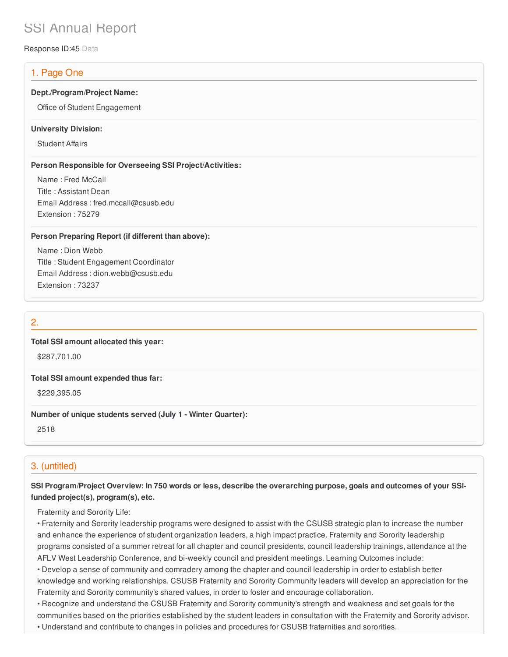# SSI Annual Report

Response ID:45 Data

### 1. Page One

#### **Dept./Program/Project Name:**

Office of Student Engagement

#### **University Division:**

Student Affairs

#### **Person Responsible for Overseeing SSI Project/Activities:**

Name : Fred McCall Title : Assistant Dean Email Address : fred.mccall@csusb.edu Extension : 75279

#### **Person Preparing Report (if different than above):**

Name : Dion Webb Title : Student Engagement Coordinator Email Address : dion.webb@csusb.edu Extension : 73237

### 2.

### **Total SSI amount allocated this year:**

\$287,701.00

#### **Total SSI amount expended thus far:**

\$229,395.05

### **Number of unique students served (July 1 - Winter Quarter):**

2518

### 3. (untitled)

### SSI Program/Project Overview: In 750 words or less, describe the overarching purpose, goals and outcomes of your SSI**funded project(s), program(s), etc.**

Fraternity and Sorority Life:

• Fraternity and Sorority leadership programs were designed to assist with the CSUSB strategic plan to increase the number and enhance the experience of student organization leaders, a high impact practice. Fraternity and Sorority leadership programs consisted of a summer retreat for all chapter and council presidents, council leadership trainings, attendance at the AFLV West Leadership Conference, and bi-weekly council and president meetings. Learning Outcomes include:

• Develop a sense of community and comradery among the chapter and council leadership in order to establish better knowledge and working relationships. CSUSB Fraternity and Sorority Community leaders will develop an appreciation for the Fraternity and Sorority community's shared values, in order to foster and encourage collaboration.

• Recognize and understand the CSUSB Fraternity and Sorority community's strength and weakness and set goals for the communities based on the priorities established by the student leaders in consultation with the Fraternity and Sorority advisor. • Understand and contribute to changes in policies and procedures for CSUSB fraternities and sororities.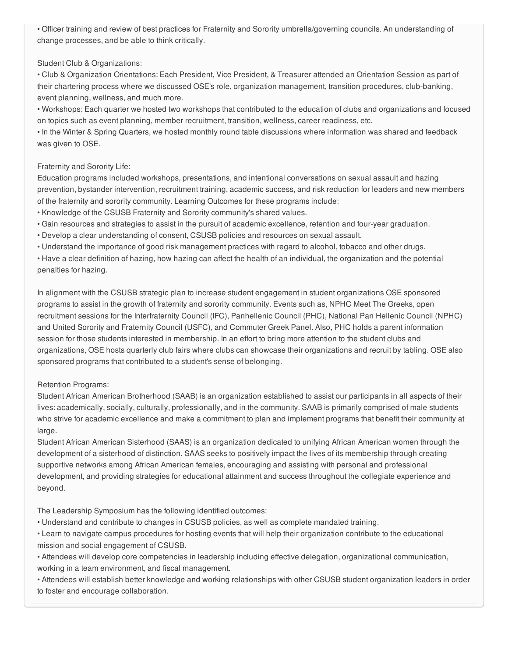• Officer training and review of best practices for Fraternity and Sorority umbrella/governing councils. An understanding of change processes, and be able to think critically.

### Student Club & Organizations:

• Club & Organization Orientations: Each President, Vice President, & Treasurer attended an Orientation Session as part of their chartering process where we discussed OSE's role, organization management, transition procedures, club-banking, event planning, wellness, and much more.

• Workshops: Each quarter we hosted two workshops that contributed to the education of clubs and organizations and focused on topics such as event planning, member recruitment, transition, wellness, career readiness, etc.

• In the Winter & Spring Quarters, we hosted monthly round table discussions where information was shared and feedback was given to OSE.

### Fraternity and Sorority Life:

Education programs included workshops, presentations, and intentional conversations on sexual assault and hazing prevention, bystander intervention, recruitment training, academic success, and risk reduction for leaders and new members of the fraternity and sorority community. Learning Outcomes for these programs include:

- Knowledge of the CSUSB Fraternity and Sorority community's shared values.
- Gain resources and strategies to assist in the pursuit of academic excellence, retention and four-year graduation.
- Develop a clear understanding of consent, CSUSB policies and resources on sexual assault.
- Understand the importance of good risk management practices with regard to alcohol, tobacco and other drugs.

• Have a clear definition of hazing, how hazing can affect the health of an individual, the organization and the potential penalties for hazing.

In alignment with the CSUSB strategic plan to increase student engagement in student organizations OSE sponsored programs to assist in the growth of fraternity and sorority community. Events such as, NPHC Meet The Greeks, open recruitment sessions for the Interfraternity Council (IFC), Panhellenic Council (PHC), National Pan Hellenic Council (NPHC) and United Sorority and Fraternity Council (USFC), and Commuter Greek Panel. Also, PHC holds a parent information session for those students interested in membership. In an effort to bring more attention to the student clubs and organizations, OSE hosts quarterly club fairs where clubs can showcase their organizations and recruit by tabling. OSE also sponsored programs that contributed to a student's sense of belonging.

### Retention Programs:

Student African American Brotherhood (SAAB) is an organization established to assist our participants in all aspects of their lives: academically, socially, culturally, professionally, and in the community. SAAB is primarily comprised of male students who strive for academic excellence and make a commitment to plan and implement programs that benefit their community at large.

Student African American Sisterhood (SAAS) is an organization dedicated to unifying African American women through the development of a sisterhood of distinction. SAAS seeks to positively impact the lives of its membership through creating supportive networks among African American females, encouraging and assisting with personal and professional development, and providing strategies for educational attainment and success throughout the collegiate experience and beyond.

The Leadership Symposium has the following identified outcomes:

- Understand and contribute to changes in CSUSB policies, as well as complete mandated training.
- Learn to navigate campus procedures for hosting events that will help their organization contribute to the educational mission and social engagement of CSUSB.
- Attendees will develop core competencies in leadership including effective delegation, organizational communication, working in a team environment, and fiscal management.

• Attendees will establish better knowledge and working relationships with other CSUSB student organization leaders in order to foster and encourage collaboration.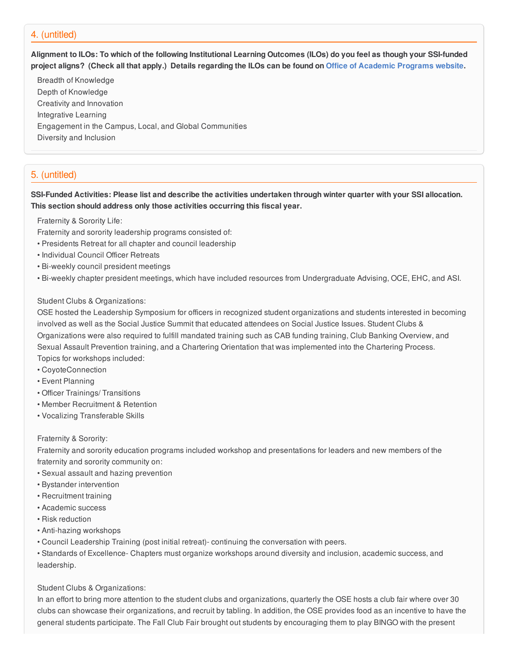### 4. (untitled)

Alignment to ILOs: To which of the following Institutional Learning Outcomes (ILOs) do you feel as though your SSI-funded project aligns? (Check all that apply.) Details regarding the ILOs can be found on Office of [Academic](https://www.csusb.edu/sites/csusb/files/CSUSB_Institutional_Learning_Outcomes-Endorsed.pdf) Programs website.

Breadth of Knowledge Depth of Knowledge Creativity and Innovation Integrative Learning Engagement in the Campus, Local, and Global Communities Diversity and Inclusion

## 5. (untitled)

SSI-Funded Activities: Please list and describe the activities undertaken through winter quarter with your SSI allocation. **This section should address only those activities occurring this fiscal year.**

Fraternity & Sorority Life:

- Fraternity and sorority leadership programs consisted of:
- Presidents Retreat for all chapter and council leadership
- Individual Council Officer Retreats
- Bi-weekly council president meetings
- Bi-weekly chapter president meetings, which have included resources from Undergraduate Advising, OCE, EHC, and ASI.

### Student Clubs & Organizations:

OSE hosted the Leadership Symposium for officers in recognized student organizations and students interested in becoming involved as well as the Social Justice Summit that educated attendees on Social Justice Issues. Student Clubs & Organizations were also required to fulfill mandated training such as CAB funding training, Club Banking Overview, and Sexual Assault Prevention training, and a Chartering Orientation that was implemented into the Chartering Process. Topics for workshops included:

- CoyoteConnection
- Event Planning
- Officer Trainings/ Transitions
- Member Recruitment & Retention
- Vocalizing Transferable Skills

#### Fraternity & Sorority:

Fraternity and sorority education programs included workshop and presentations for leaders and new members of the fraternity and sorority community on:

- Sexual assault and hazing prevention
- Bystander intervention
- Recruitment training
- Academic success
- Risk reduction
- Anti-hazing workshops
- Council Leadership Training (post initial retreat)- continuing the conversation with peers.

• Standards of Excellence- Chapters must organize workshops around diversity and inclusion, academic success, and leadership.

### Student Clubs & Organizations:

In an effort to bring more attention to the student clubs and organizations, quarterly the OSE hosts a club fair where over 30 clubs can showcase their organizations, and recruit by tabling. In addition, the OSE provides food as an incentive to have the general students participate. The Fall Club Fair brought out students by encouraging them to play BINGO with the present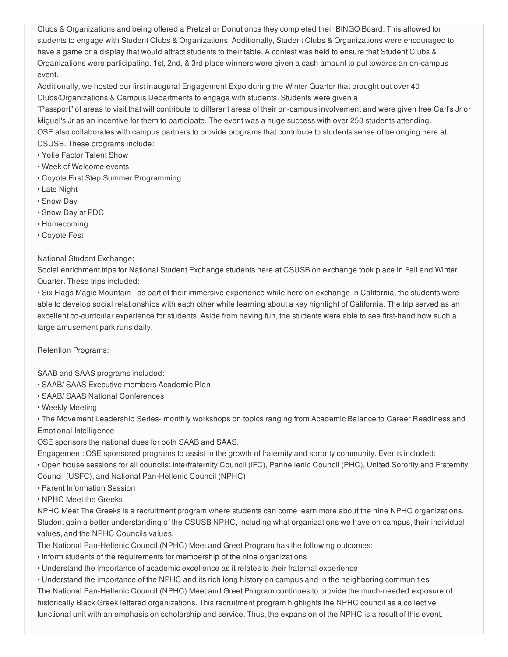Clubs & Organizations and being offered a Pretzel or Donut once they completed their BINGO Board. This allowed for students to engage with Student Clubs & Organizations. Additionally, Student Clubs & Organizations were encouraged to have a game or a display that would attract students to their table. A contest was held to ensure that Student Clubs & Organizations were participating. 1st, 2nd, & 3rd place winners were given a cash amount to put towards an on-campus event.

Additionally, we hosted our first inaugural Engagement Expo during the Winter Quarter that brought out over 40 Clubs/Organizations & Campus Departments to engage with students. Students were given a

"Passport" of areas to visit that will contribute to different areas of their on-campus involvement and were given free Carl's Jr or Miguel's Jr as an incentive for them to participate. The event was a huge success with over 250 students attending. OSE also collaborates with campus partners to provide programs that contribute to students sense of belonging here at CSUSB. These programs include:

- Yotie Factor Talent Show
- Week of Welcome events
- Coyote First Step Summer Programming
- Late Night
- Snow Day
- Snow Day at PDC
- Homecoming
- Coyote Fest

### National Student Exchange:

Social enrichment trips for National Student Exchange students here at CSUSB on exchange took place in Fall and Winter Quarter. These trips included:

• Six Flags Magic Mountain - as part of their immersive experience while here on exchange in California, the students were able to develop social relationships with each other while learning about a key highlight of California. The trip served as an excellent co-curricular experience for students. Aside from having fun, the students were able to see first-hand how such a large amusement park runs daily.

Retention Programs:

SAAB and SAAS programs included:

- SAAB/ SAAS Executive members Academic Plan
- SAAB/ SAAS National Conferences
- Weekly Meeting

• The Movement Leadership Series- monthly workshops on topics ranging from Academic Balance to Career Readiness and Emotional Intelligence

OSE sponsors the national dues for both SAAB and SAAS.

Engagement: OSE sponsored programs to assist in the growth of fraternity and sorority community. Events included:

• Open house sessions for all councils: Interfraternity Council (IFC), Panhellenic Council (PHC), United Sorority and Fraternity Council (USFC), and National Pan-Hellenic Council (NPHC)

- Parent Information Session
- NPHC Meet the Greeks

NPHC Meet The Greeks is a recruitment program where students can come learn more about the nine NPHC organizations. Student gain a better understanding of the CSUSB NPHC, including what organizations we have on campus, their individual values, and the NPHC Councils values.

The National Pan-Hellenic Council (NPHC) Meet and Greet Program has the following outcomes:

• Inform students of the requirements for membership of the nine organizations

• Understand the importance of academic excellence as it relates to their fraternal experience

• Understand the importance of the NPHC and its rich long history on campus and in the neighboring communities The National Pan-Hellenic Council (NPHC) Meet and Greet Program continues to provide the much-needed exposure of historically Black Greek lettered organizations. This recruitment program highlights the NPHC council as a collective functional unit with an emphasis on scholarship and service. Thus, the expansion of the NPHC is a result of this event.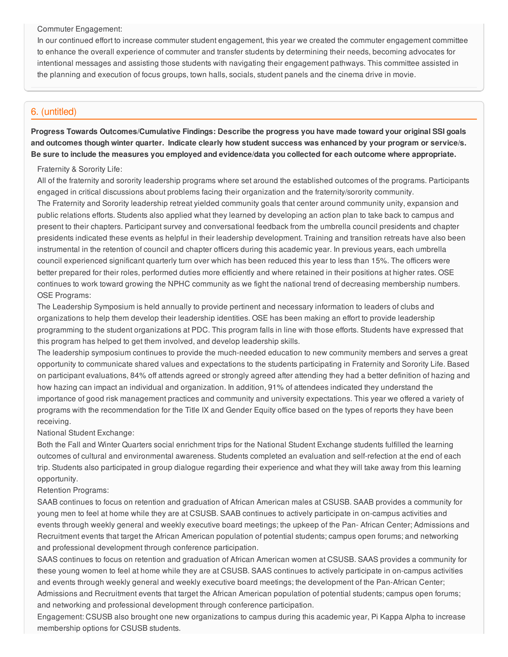Commuter Engagement:

In our continued effort to increase commuter student engagement, this year we created the commuter engagement committee to enhance the overall experience of commuter and transfer students by determining their needs, becoming advocates for intentional messages and assisting those students with navigating their engagement pathways. This committee assisted in the planning and execution of focus groups, town halls, socials, student panels and the cinema drive in movie.

### 6. (untitled)

**Progress Towards Outcomes/Cumulative Findings: Describe the progress you have made toward your original SSI goals** and outcomes though winter quarter. Indicate clearly how student success was enhanced by your program or service/s. Be sure to include the measures you employed and evidence/data you collected for each outcome where appropriate.

### Fraternity & Sorority Life:

All of the fraternity and sorority leadership programs where set around the established outcomes of the programs. Participants engaged in critical discussions about problems facing their organization and the fraternity/sorority community. The Fraternity and Sorority leadership retreat yielded community goals that center around community unity, expansion and public relations efforts. Students also applied what they learned by developing an action plan to take back to campus and present to their chapters. Participant survey and conversational feedback from the umbrella council presidents and chapter presidents indicated these events as helpful in their leadership development. Training and transition retreats have also been instrumental in the retention of council and chapter officers during this academic year. In previous years, each umbrella council experienced significant quarterly turn over which has been reduced this year to less than 15%. The officers were better prepared for their roles, performed duties more efficiently and where retained in their positions at higher rates. OSE continues to work toward growing the NPHC community as we fight the national trend of decreasing membership numbers. OSE Programs:

The Leadership Symposium is held annually to provide pertinent and necessary information to leaders of clubs and organizations to help them develop their leadership identities. OSE has been making an effort to provide leadership programming to the student organizations at PDC. This program falls in line with those efforts. Students have expressed that this program has helped to get them involved, and develop leadership skills.

The leadership symposium continues to provide the much-needed education to new community members and serves a great opportunity to communicate shared values and expectations to the students participating in Fraternity and Sorority Life. Based on participant evaluations, 84% off attends agreed or strongly agreed after attending they had a better definition of hazing and how hazing can impact an individual and organization. In addition, 91% of attendees indicated they understand the importance of good risk management practices and community and university expectations. This year we offered a variety of programs with the recommendation for the Title IX and Gender Equity office based on the types of reports they have been receiving.

### National Student Exchange:

Both the Fall and Winter Quarters social enrichment trips for the National Student Exchange students fulfilled the learning outcomes of cultural and environmental awareness. Students completed an evaluation and self-refection at the end of each trip. Students also participated in group dialogue regarding their experience and what they will take away from this learning opportunity.

### Retention Programs:

SAAB continues to focus on retention and graduation of African American males at CSUSB. SAAB provides a community for young men to feel at home while they are at CSUSB. SAAB continues to actively participate in on-campus activities and events through weekly general and weekly executive board meetings; the upkeep of the Pan- African Center; Admissions and Recruitment events that target the African American population of potential students; campus open forums; and networking and professional development through conference participation.

SAAS continues to focus on retention and graduation of African American women at CSUSB. SAAS provides a community for these young women to feel at home while they are at CSUSB. SAAS continues to actively participate in on-campus activities and events through weekly general and weekly executive board meetings; the development of the Pan-African Center; Admissions and Recruitment events that target the African American population of potential students; campus open forums; and networking and professional development through conference participation.

Engagement: CSUSB also brought one new organizations to campus during this academic year, Pi Kappa Alpha to increase membership options for CSUSB students.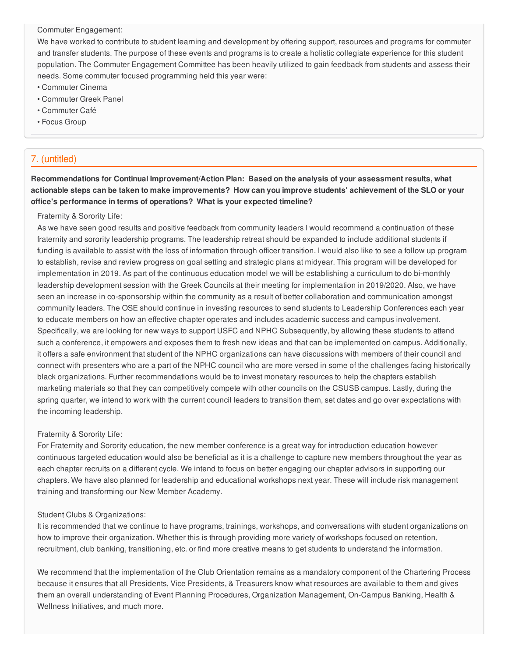Commuter Engagement:

We have worked to contribute to student learning and development by offering support, resources and programs for commuter and transfer students. The purpose of these events and programs is to create a holistic collegiate experience for this student population. The Commuter Engagement Committee has been heavily utilized to gain feedback from students and assess their needs. Some commuter focused programming held this year were:

- Commuter Cinema
- Commuter Greek Panel
- Commuter Café
- Focus Group

### 7. (untitled)

**Recommendations for Continual Improvement/Action Plan: Based on the analysis of your assessment results, what** actionable steps can be taken to make improvements? How can you improve students' achievement of the SLO or your **office's performance in terms of operations? What is your expected timeline?**

#### Fraternity & Sorority Life:

As we have seen good results and positive feedback from community leaders I would recommend a continuation of these fraternity and sorority leadership programs. The leadership retreat should be expanded to include additional students if funding is available to assist with the loss of information through officer transition. I would also like to see a follow up program to establish, revise and review progress on goal setting and strategic plans at midyear. This program will be developed for implementation in 2019. As part of the continuous education model we will be establishing a curriculum to do bi-monthly leadership development session with the Greek Councils at their meeting for implementation in 2019/2020. Also, we have seen an increase in co-sponsorship within the community as a result of better collaboration and communication amongst community leaders. The OSE should continue in investing resources to send students to Leadership Conferences each year to educate members on how an effective chapter operates and includes academic success and campus involvement. Specifically, we are looking for new ways to support USFC and NPHC Subsequently, by allowing these students to attend such a conference, it empowers and exposes them to fresh new ideas and that can be implemented on campus. Additionally, it offers a safe environment that student of the NPHC organizations can have discussions with members of their council and connect with presenters who are a part of the NPHC council who are more versed in some of the challenges facing historically black organizations. Further recommendations would be to invest monetary resources to help the chapters establish marketing materials so that they can competitively compete with other councils on the CSUSB campus. Lastly, during the spring quarter, we intend to work with the current council leaders to transition them, set dates and go over expectations with the incoming leadership.

#### Fraternity & Sorority Life:

For Fraternity and Sorority education, the new member conference is a great way for introduction education however continuous targeted education would also be beneficial as it is a challenge to capture new members throughout the year as each chapter recruits on a different cycle. We intend to focus on better engaging our chapter advisors in supporting our chapters. We have also planned for leadership and educational workshops next year. These will include risk management training and transforming our New Member Academy.

#### Student Clubs & Organizations:

It is recommended that we continue to have programs, trainings, workshops, and conversations with student organizations on how to improve their organization. Whether this is through providing more variety of workshops focused on retention, recruitment, club banking, transitioning, etc. or find more creative means to get students to understand the information.

We recommend that the implementation of the Club Orientation remains as a mandatory component of the Chartering Process because it ensures that all Presidents, Vice Presidents, & Treasurers know what resources are available to them and gives them an overall understanding of Event Planning Procedures, Organization Management, On-Campus Banking, Health & Wellness Initiatives, and much more.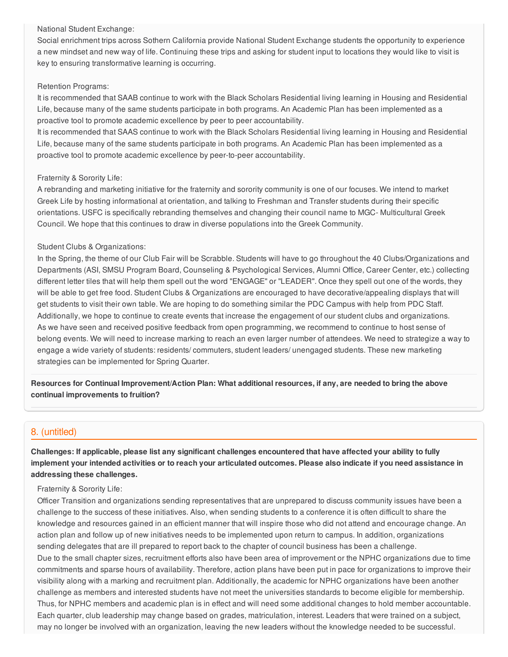#### National Student Exchange:

Social enrichment trips across Sothern California provide National Student Exchange students the opportunity to experience a new mindset and new way of life. Continuing these trips and asking for student input to locations they would like to visit is key to ensuring transformative learning is occurring.

### Retention Programs:

It is recommended that SAAB continue to work with the Black Scholars Residential living learning in Housing and Residential Life, because many of the same students participate in both programs. An Academic Plan has been implemented as a proactive tool to promote academic excellence by peer to peer accountability.

It is recommended that SAAS continue to work with the Black Scholars Residential living learning in Housing and Residential Life, because many of the same students participate in both programs. An Academic Plan has been implemented as a proactive tool to promote academic excellence by peer-to-peer accountability.

### Fraternity & Sorority Life:

A rebranding and marketing initiative for the fraternity and sorority community is one of our focuses. We intend to market Greek Life by hosting informational at orientation, and talking to Freshman and Transfer students during their specific orientations. USFC is specifically rebranding themselves and changing their council name to MGC- Multicultural Greek Council. We hope that this continues to draw in diverse populations into the Greek Community.

### Student Clubs & Organizations:

In the Spring, the theme of our Club Fair will be Scrabble. Students will have to go throughout the 40 Clubs/Organizations and Departments (ASI, SMSU Program Board, Counseling & Psychological Services, Alumni Office, Career Center, etc.) collecting different letter tiles that will help them spell out the word "ENGAGE" or "LEADER". Once they spell out one of the words, they will be able to get free food. Student Clubs & Organizations are encouraged to have decorative/appealing displays that will get students to visit their own table. We are hoping to do something similar the PDC Campus with help from PDC Staff. Additionally, we hope to continue to create events that increase the engagement of our student clubs and organizations. As we have seen and received positive feedback from open programming, we recommend to continue to host sense of belong events. We will need to increase marking to reach an even larger number of attendees. We need to strategize a way to engage a wide variety of students: residents/ commuters, student leaders/ unengaged students. These new marketing strategies can be implemented for Spring Quarter.

Resources for Continual Improvement/Action Plan: What additional resources, if any, are needed to bring the above **continual improvements to fruition?**

### 8. (untitled)

Challenges: If applicable, please list any significant challenges encountered that have affected your ability to fully implement your intended activities or to reach your articulated outcomes. Please also indicate if you need assistance in **addressing these challenges.**

### Fraternity & Sorority Life:

Officer Transition and organizations sending representatives that are unprepared to discuss community issues have been a challenge to the success of these initiatives. Also, when sending students to a conference it is often difficult to share the knowledge and resources gained in an efficient manner that will inspire those who did not attend and encourage change. An action plan and follow up of new initiatives needs to be implemented upon return to campus. In addition, organizations sending delegates that are ill prepared to report back to the chapter of council business has been a challenge. Due to the small chapter sizes, recruitment efforts also have been area of improvement or the NPHC organizations due to time commitments and sparse hours of availability. Therefore, action plans have been put in pace for organizations to improve their visibility along with a marking and recruitment plan. Additionally, the academic for NPHC organizations have been another challenge as members and interested students have not meet the universities standards to become eligible for membership. Thus, for NPHC members and academic plan is in effect and will need some additional changes to hold member accountable. Each quarter, club leadership may change based on grades, matriculation, interest. Leaders that were trained on a subject, may no longer be involved with an organization, leaving the new leaders without the knowledge needed to be successful.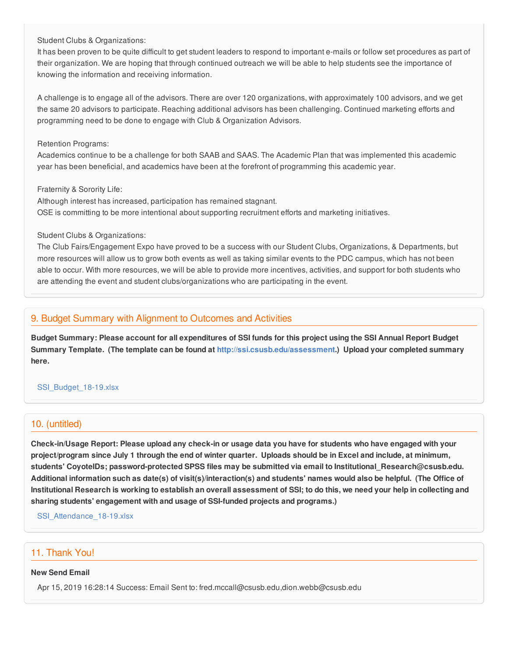#### Student Clubs & Organizations:

It has been proven to be quite difficult to get student leaders to respond to important e-mails or follow set procedures as part of their organization. We are hoping that through continued outreach we will be able to help students see the importance of knowing the information and receiving information.

A challenge is to engage all of the advisors. There are over 120 organizations, with approximately 100 advisors, and we get the same 20 advisors to participate. Reaching additional advisors has been challenging. Continued marketing efforts and programming need to be done to engage with Club & Organization Advisors.

### Retention Programs:

Academics continue to be a challenge for both SAAB and SAAS. The Academic Plan that was implemented this academic year has been beneficial, and academics have been at the forefront of programming this academic year.

### Fraternity & Sorority Life:

Although interest has increased, participation has remained stagnant. OSE is committing to be more intentional about supporting recruitment efforts and marketing initiatives.

### Student Clubs & Organizations:

The Club Fairs/Engagement Expo have proved to be a success with our Student Clubs, Organizations, & Departments, but more resources will allow us to grow both events as well as taking similar events to the PDC campus, which has not been able to occur. With more resources, we will be able to provide more incentives, activities, and support for both students who are attending the event and student clubs/organizations who are participating in the event.

### 9. Budget Summary with Alignment to Outcomes and Activities

Budget Summary: Please account for all expenditures of SSI funds for this project using the SSI Annual Report Budget **Summary Template. (The template can be found at <http://ssi.csusb.edu/assessment>.) Upload your completed summary here.**

### [SSI\\_Budget\\_18-19.xlsx](https://surveygizmoresponseuploads.s3.amazonaws.com/fileuploads/98679/3939151/118-0996bb8f3e14b145ca87e5ae4f4d797a_SSI_Budget_18-19.xlsx)

### 10. (untitled)

Check-in/Usage Report: Please upload any check-in or usage data you have for students who have engaged with your project/program since July 1 through the end of winter quarter. Uploads should be in Excel and include, at minimum, **students' CoyoteIDs; password-protected SPSS files may be submitted via email to Institutional\_Research@csusb.edu.** Additional information such as date(s) of visit(s)/interaction(s) and students' names would also be helpful. (The Office of Institutional Research is working to establish an overall assessment of SSI; to do this, we need your help in collecting and **sharing students' engagement with and usage of SSI-funded projects and programs.)**

[SSI\\_Attendance\\_18-19.xlsx](https://surveygizmoresponseuploads.s3.amazonaws.com/fileuploads/98679/3939151/195-39e2f468a9c3244da12f5d7d3a41825a_SSI_Attendance_18-19.xlsx)

### 11. Thank You!

### **New Send Email**

Apr 15, 2019 16:28:14 Success: Email Sent to: fred.mccall@csusb.edu,dion.webb@csusb.edu